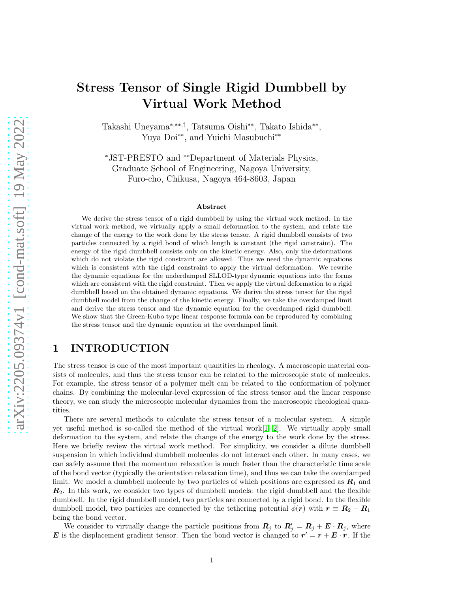# Stress Tensor of Single Rigid Dumbbell by Virtual Work Method

Takashi Uneyama<sup>\*,\*\*,†</sup>, Tatsuma Oishi<sup>\*\*</sup>, Takato Ishida<sup>\*\*</sup>, Yuya Doi∗∗, and Yuichi Masubuchi∗∗

<sup>∗</sup>JST-PRESTO and ∗∗Department of Materials Physics, Graduate School of Engineering, Nagoya University, Furo-cho, Chikusa, Nagoya 464-8603, Japan

#### Abstract

We derive the stress tensor of a rigid dumbbell by using the virtual work method. In the virtual work method, we virtually apply a small deformation to the system, and relate the change of the energy to the work done by the stress tensor. A rigid dumbbell consists of two particles connected by a rigid bond of which length is constant (the rigid constraint). The energy of the rigid dumbbell consists only on the kinetic energy. Also, only the deformations which do not violate the rigid constraint are allowed. Thus we need the dynamic equations which is consistent with the rigid constraint to apply the virtual deformation. We rewrite the dynamic equations for the underdamped SLLOD-type dynamic equations into the forms which are consistent with the rigid constraint. Then we apply the virtual deformation to a rigid dumbbell based on the obtained dynamic equations. We derive the stress tensor for the rigid dumbbell model from the change of the kinetic energy. Finally, we take the overdamped limit and derive the stress tensor and the dynamic equation for the overdamped rigid dumbbell. We show that the Green-Kubo type linear response formula can be reproduced by combining the stress tensor and the dynamic equation at the overdamped limit.

### 1 INTRODUCTION

The stress tensor is one of the most important quantities in rheology. A macroscopic material consists of molecules, and thus the stress tensor can be related to the microscopic state of molecules. For example, the stress tensor of a polymer melt can be related to the conformation of polymer chains. By combining the molecular-level expression of the stress tensor and the linear response theory, we can study the microscopic molecular dynamics from the macroscopic rheological quantities.

There are several methods to calculate the stress tensor of a molecular system. A simple yet useful method is so-called the method of the virtual work $[1, 2]$  $[1, 2]$ . We virtually apply small deformation to the system, and relate the change of the energy to the work done by the stress. Here we briefly review the virtual work method. For simplicity, we consider a dilute dumbbell suspension in which individual dumbbell molecules do not interact each other. In many cases, we can safely assume that the momentum relaxation is much faster than the characteristic time scale of the bond vector (typically the orientation relaxation time), and thus we can take the overdamped limit. We model a dumbbell molecule by two particles of which positions are expressed as  $R_1$  and  $\mathbb{R}_2$ . In this work, we consider two types of dumbbell models: the rigid dumbbell and the flexible dumbbell. In the rigid dumbbell model, two particles are connected by a rigid bond. In the flexible dumbbell model, two particles are connected by the tethering potential  $\phi(\mathbf{r})$  with  $\mathbf{r} \equiv \mathbf{R}_2 - \mathbf{R}_1$ being the bond vector.

We consider to virtually change the particle positions from  $R_j$  to  $R'_j = R_j + E \cdot R_j$ , where **E** is the displacement gradient tensor. Then the bond vector is changed to  $r' = r + E \cdot r$ . If the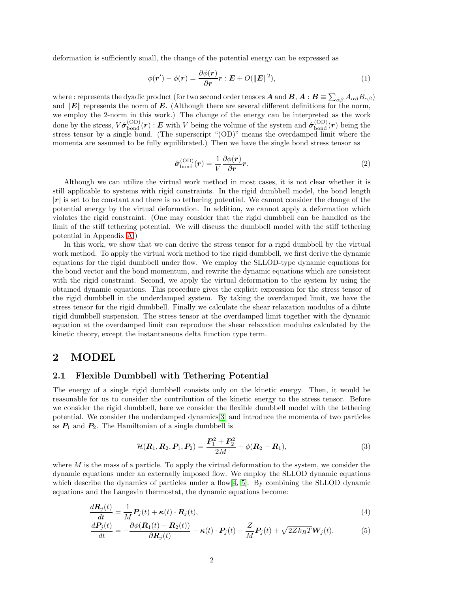deformation is sufficiently small, the change of the potential energy can be expressed as

$$
\phi(\mathbf{r}') - \phi(\mathbf{r}) = \frac{\partial \phi(\mathbf{r})}{\partial \mathbf{r}} \mathbf{r} : \mathbf{E} + O(||\mathbf{E}||^2), \tag{1}
$$

where : represents the dyadic product (for two second order tensors  $\bm A$  and  $\bm B, \bm A$  :  $\bm B \equiv \sum_{\alpha\beta} A_{\alpha\beta} B_{\alpha\beta}$ ) and  $\|E\|$  represents the norm of E. (Although there are several different definitions for the norm, we employ the 2-norm in this work.) The change of the energy can be interpreted as the work done by the stress,  $V\hat{\sigma}_{\rm bond}^{\rm (OD)}(\boldsymbol{r})$  :  $\boldsymbol{E}$  with V being the volume of the system and  $\hat{\boldsymbol{\sigma}}_{\rm bond}^{\rm (OD)}(\boldsymbol{r})$  being the stress tensor by a single bond. (The superscript "(OD)" means the overdamped limit where the momenta are assumed to be fully equilibrated.) Then we have the single bond stress tensor as

<span id="page-1-3"></span>
$$
\hat{\sigma}_{\text{bond}}^{(\text{OD})}(\boldsymbol{r}) = \frac{1}{V} \frac{\partial \phi(\boldsymbol{r})}{\partial \boldsymbol{r}} \boldsymbol{r}.
$$
\n(2)

Although we can utilize the virtual work method in most cases, it is not clear whether it is still applicable to systems with rigid constraints. In the rigid dumbbell model, the bond length  $|r|$  is set to be constant and there is no tethering potential. We cannot consider the change of the potential energy by the virtual deformation. In addition, we cannot apply a deformation which violates the rigid constraint. (One may consider that the rigid dumbbell can be handled as the limit of the stiff tethering potential. We will discuss the dumbbell model with the stiff tethering potential in Appendix [A.](#page-10-0))

In this work, we show that we can derive the stress tensor for a rigid dumbbell by the virtual work method. To apply the virtual work method to the rigid dumbbell, we first derive the dynamic equations for the rigid dumbbell under flow. We employ the SLLOD-type dynamic equations for the bond vector and the bond momentum, and rewrite the dynamic equations which are consistent with the rigid constraint. Second, we apply the virtual deformation to the system by using the obtained dynamic equations. This procedure gives the explicit expression for the stress tensor of the rigid dumbbell in the underdamped system. By taking the overdamped limit, we have the stress tensor for the rigid dumbbell. Finally we calculate the shear relaxation modulus of a dilute rigid dumbbell suspension. The stress tensor at the overdamped limit together with the dynamic equation at the overdamped limit can reproduce the shear relaxation modulus calculated by the kinetic theory, except the instantaneous delta function type term.

### 2 MODEL

### 2.1 Flexible Dumbbell with Tethering Potential

The energy of a single rigid dumbbell consists only on the kinetic energy. Then, it would be reasonable for us to consider the contribution of the kinetic energy to the stress tensor. Before we consider the rigid dumbbell, here we consider the flexible dumbbell model with the tethering potential. We consider the underdamped dynamics[\[3\]](#page-12-2) and introduce the momenta of two particles as  $P_1$  and  $P_2$ . The Hamiltonian of a single dumbbell is

<span id="page-1-2"></span><span id="page-1-1"></span><span id="page-1-0"></span>
$$
\mathcal{H}(\mathbf{R}_1, \mathbf{R}_2, \mathbf{P}_1, \mathbf{P}_2) = \frac{\mathbf{P}_1^2 + \mathbf{P}_2^2}{2M} + \phi(\mathbf{R}_2 - \mathbf{R}_1),\tag{3}
$$

where  $M$  is the mass of a particle. To apply the virtual deformation to the system, we consider the dynamic equations under an externally imposed flow. We employ the SLLOD dynamic equations which describe the dynamics of particles under a flow  $[4, 5]$  $[4, 5]$ . By combining the SLLOD dynamic equations and the Langevin thermostat, the dynamic equations become:

$$
\frac{d\mathbf{R}_j(t)}{dt} = \frac{1}{M} \mathbf{P}_j(t) + \kappa(t) \cdot \mathbf{R}_j(t),\tag{4}
$$

$$
\frac{d\boldsymbol{P}_j(t)}{dt} = -\frac{\partial \phi(\boldsymbol{R}_1(t) - \boldsymbol{R}_2(t))}{\partial \boldsymbol{R}_j(t)} - \kappa(t) \cdot \boldsymbol{P}_j(t) - \frac{Z}{M} \boldsymbol{P}_j(t) + \sqrt{2Zk_BT}\boldsymbol{W}_j(t).
$$
(5)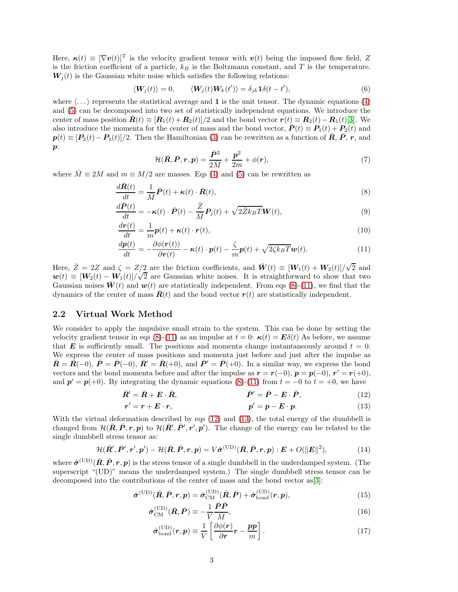Here,  $\kappa(t) \equiv [\nabla v(t)]^T$  is the velocity gradient tensor with  $v(t)$  being the imposed flow field, Z is the friction coefficient of a particle,  $k_B$  is the Boltzmann constant, and T is the temperature.  $W_i(t)$  is the Gaussian white noise which satisfies the following relations:

$$
\langle \mathbf{W}_j(t) \rangle = 0, \qquad \langle \mathbf{W}_j(t) \mathbf{W}_k(t') \rangle = \delta_{jk} \mathbf{1} \delta(t - t'), \tag{6}
$$

where  $\langle \ldots \rangle$  represents the statistical average and 1 is the unit tensor. The dynamic equations [\(4\)](#page-1-0) and [\(5\)](#page-1-1) can be decomposed into two set of statistically independent equations. We introduce the center of mass position  $\bar{R}(t) \equiv [\mathbf{R}_1(t) + \mathbf{R}_2(t)]/2$  and the bond vector  $\mathbf{r}(t) \equiv \mathbf{R}_2(t) - \mathbf{R}_1(t)[3]$  $\mathbf{r}(t) \equiv \mathbf{R}_2(t) - \mathbf{R}_1(t)[3]$ . We also introduce the momenta for the center of mass and the bond vector,  $\bar{P}(t) = P_1(t) + P_2(t)$  and  $p(t) \equiv [P_2(t) - P_1(t)]/2$ . Then the Hamiltonian [\(3\)](#page-1-2) can be rewritten as a function of  $\bar{R}$ ,  $\bar{P}$ ,  $r$ , and  $\boldsymbol{p}$ :

<span id="page-2-1"></span><span id="page-2-0"></span>
$$
\mathcal{H}(\bar{\boldsymbol{R}},\bar{\boldsymbol{P}},\boldsymbol{r},\boldsymbol{p})=\frac{\bar{\boldsymbol{P}}^2}{2M}+\frac{\boldsymbol{p}^2}{2m}+\phi(\boldsymbol{r}),
$$
\n(7)

where  $\overline{M} \equiv 2M$  and  $m \equiv M/2$  are masses. Eqs [\(4\)](#page-1-0) and [\(5\)](#page-1-1) can be rewritten as

$$
\frac{d\bar{\mathbf{R}}(t)}{dt} = \frac{1}{\overline{M}}\bar{\mathbf{P}}(t) + \kappa(t) \cdot \bar{\mathbf{R}}(t),\tag{8}
$$

$$
\frac{d\bar{P}(t)}{dt} = -\kappa(t) \cdot \bar{P}(t) - \frac{\bar{Z}}{\bar{M}} P_j(t) + \sqrt{2\bar{Z}k_B T} \mathbf{W}(t),\tag{9}
$$

$$
\frac{d\mathbf{r}(t)}{dt} = \frac{1}{m}\mathbf{p}(t) + \boldsymbol{\kappa}(t) \cdot \mathbf{r}(t),\tag{10}
$$

$$
\frac{d\boldsymbol{p}(t)}{dt} = -\frac{\partial \phi(\boldsymbol{r}(t))}{\partial \boldsymbol{r}(t)} - \boldsymbol{\kappa}(t) \cdot \boldsymbol{p}(t) - \frac{\zeta}{m} \boldsymbol{p}(t) + \sqrt{2\zeta k_B T} \boldsymbol{w}(t).
$$
\n(11)

Here,  $\bar{Z} = 2Z$  and  $\zeta = Z/2$  are the friction coefficients, and  $\bar{W}(t) \equiv [W_1(t) + W_2(t)]/\sqrt{2}$  and  $w(t) \equiv [W_2(t) - W_1(t)]/\sqrt{2}$  are Gaussian white noises. It is straightforward to show that two Gaussian noises  $\bar{\bm{W}}(t)$  and  $\bm{w}(t)$  are statistically independent. From eqs [\(8\)](#page-2-0)-[\(11\)](#page-2-1), we find that the dynamics of the center of mass  $\bar{R}(t)$  and the bond vector  $r(t)$  are statistically independent.

#### 2.2 Virtual Work Method

We consider to apply the impulsive small strain to the system. This can be done by setting the velocity gradient tensor in eqs [\(8\)](#page-2-0)-[\(11\)](#page-2-1) as an impulse at  $t = 0$ :  $\kappa(t) = E\delta(t)$  As before, we assume that **E** is sufficiently small. The positions and momenta change instantaneously around  $t = 0$ . We express the center of mass positions and momenta just before and just after the impulse as  $\bar{\bm{R}} = \bar{\bm{R}}(-0), \bar{\bm{P}} = \bar{\bm{P}}(-0), \bar{\bm{R}}' = \bar{\bm{R}}(+0),$  and  $\bar{\bm{P}}' = \bar{\bm{P}}(+0)$ . In a similar way, we express the bond vectors and the bond momenta before and after the impulse as  $\mathbf{r} = \mathbf{r}(-0)$ ,  $\mathbf{p} = \mathbf{p}(-0)$ ,  $\mathbf{r}' = \mathbf{r}(+0)$ , and  $p' = p(+0)$ . By integrating the dynamic equations [\(8\)](#page-2-0)-[\(11\)](#page-2-1) from  $t = -0$  to  $t = +0$ , we have

$$
\bar{R}' = \bar{R} + E \cdot \bar{R}, \qquad \bar{P}' = \bar{P} - E \cdot \bar{P}, \qquad (12)
$$

<span id="page-2-3"></span><span id="page-2-2"></span>
$$
r' = r + E \cdot r, \qquad p' = p - E \cdot p. \tag{13}
$$

With the virtual deformation described by eqs [\(12\)](#page-2-2) and [\(13\)](#page-2-3), the total energy of the dumbbell is changed from  $\mathcal{H}(\bar{\bm{R}}, \bar{\bm{P}}, \bm{r}, \bm{p})$  to  $\mathcal{H}(\bar{\bm{R}}', \bar{\bm{P}}', \bm{r}', \bm{p}')$ . The change of the energy can be related to the single dumbbell stress tensor as:

$$
\mathcal{H}(\bar{\boldsymbol{R}}', \bar{\boldsymbol{P}}', \boldsymbol{r}', \boldsymbol{p}') - \mathcal{H}(\bar{\boldsymbol{R}}, \bar{\boldsymbol{P}}, \boldsymbol{r}, \boldsymbol{p}) = V\hat{\boldsymbol{\sigma}}^{(\text{UD})}(\bar{\boldsymbol{R}}, \bar{\boldsymbol{P}}, \boldsymbol{r}, \boldsymbol{p}) : \boldsymbol{E} + O(\|\boldsymbol{E}\|^2),\tag{14}
$$

where  $\hat{\sigma}^{(\mathrm{UD})}(\bar{R}, \bar{P}, r, p)$  is the stress tensor of a single dumbbell in the underdamped system. (The superscript "(UD)" means the underdamped system.) The single dumbbell stress tensor can be decomposed into the contributions of the center of mass and the bond vector as[\[3\]](#page-12-2):

$$
\hat{\sigma}^{\text{(UD)}}(\bar{R}, \bar{P}, r, p) = \hat{\sigma}_{\text{CM}}^{\text{(UD)}}(\bar{R}, \bar{P}) + \hat{\sigma}_{\text{bond}}^{\text{(UD)}}(r, p), \tag{15}
$$

$$
\hat{\sigma}_{\text{CM}}^{(\text{UD})}(\bar{R}, \bar{P}) \equiv -\frac{1}{V} \frac{PP}{\bar{M}},\tag{16}
$$

<span id="page-2-5"></span><span id="page-2-4"></span>
$$
\hat{\sigma}_{\text{bond}}^{(\text{UD})}(r,p) \equiv \frac{1}{V} \left[ \frac{\partial \phi(r)}{\partial r} r - \frac{pp}{m} \right]. \tag{17}
$$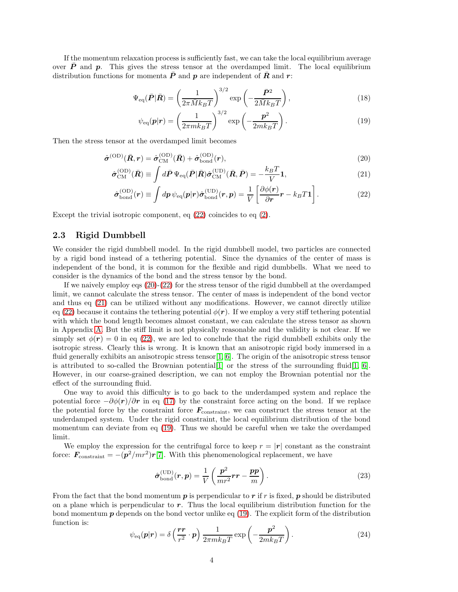If the momentum relaxation process is sufficiently fast, we can take the local equilibrium average over  $P$  and  $p$ . This gives the stress tensor at the overdamped limit. The local equilibrium distribution functions for momenta  $\bar{P}$  and p are independent of  $\bar{R}$  and r:

$$
\Psi_{\text{eq}}(\bar{P}|\bar{R}) = \left(\frac{1}{2\pi\bar{M}k_BT}\right)^{3/2} \exp\left(-\frac{\bar{P}^2}{2\bar{M}k_BT}\right),\tag{18}
$$

<span id="page-3-3"></span><span id="page-3-2"></span><span id="page-3-1"></span><span id="page-3-0"></span>
$$
\psi_{\text{eq}}(\boldsymbol{p}|\boldsymbol{r}) = \left(\frac{1}{2\pi mk_BT}\right)^{3/2} \exp\left(-\frac{\boldsymbol{p}^2}{2mk_BT}\right). \tag{19}
$$

Then the stress tensor at the overdamped limit becomes

$$
\hat{\sigma}^{\text{(OD)}}(\bar{R}, r) = \hat{\sigma}^{\text{(OD)}}_{\text{CM}}(\bar{R}) + \hat{\sigma}^{\text{(OD)}}_{\text{bond}}(r), \tag{20}
$$

$$
\hat{\sigma}_{\rm CM}^{\rm (OD)}(\bar{R}) \equiv \int d\bar{P} \, \Psi_{\rm eq}(\bar{P}|\bar{R}) \hat{\sigma}_{\rm CM}^{\rm (UD)}(\bar{R}, \bar{P}) = -\frac{k_B T}{V} \mathbf{1},\tag{21}
$$

$$
\hat{\sigma}_{\text{bond}}^{(\text{OD})}(r) \equiv \int dp \,\psi_{\text{eq}}(p|r)\hat{\sigma}_{\text{bond}}^{(\text{UD})}(r,p) = \frac{1}{V} \left[ \frac{\partial \phi(r)}{\partial r}r - k_B T \mathbf{1} \right]. \tag{22}
$$

Except the trivial isotropic component, eq [\(22\)](#page-3-0) coincides to eq [\(2\)](#page-1-3).

#### 2.3 Rigid Dumbbell

We consider the rigid dumbbell model. In the rigid dumbbell model, two particles are connected by a rigid bond instead of a tethering potential. Since the dynamics of the center of mass is independent of the bond, it is common for the flexible and rigid dumbbells. What we need to consider is the dynamics of the bond and the stress tensor by the bond.

If we naively employ eqs [\(20\)](#page-3-1)-[\(22\)](#page-3-0) for the stress tensor of the rigid dumbbell at the overdamped limit, we cannot calculate the stress tensor. The center of mass is independent of the bond vector and thus eq [\(21\)](#page-3-2) can be utilized without any modifications. However, we cannot directly utilize eq [\(22\)](#page-3-0) because it contains the tethering potential  $\phi(\mathbf{r})$ . If we employ a very stiff tethering potential with which the bond length becomes almost constant, we can calculate the stress tensor as shown in Appendix [A.](#page-10-0) But the stiff limit is not physically reasonable and the validity is not clear. If we simply set  $\phi(\mathbf{r}) = 0$  in eq [\(22\)](#page-3-0), we are led to conclude that the rigid dumbbell exhibits only the isotropic stress. Clearly this is wrong. It is known that an anisotropic rigid body immersed in a fluid generally exhibits an anisotropic stress tensor  $[1, 6]$  $[1, 6]$ . The origin of the anisotropic stress tensor is attributed to so-called the Brownian potential  $[1]$  or the stress of the surrounding fluid  $[1, 6]$  $[1, 6]$ . However, in our coarse-grained description, we can not employ the Brownian potential nor the effect of the surrounding fluid.

One way to avoid this difficulty is to go back to the underdamped system and replace the potential force  $-\partial \phi(r)/\partial r$  in eq [\(17\)](#page-2-4) by the constraint force acting on the bond. If we replace the potential force by the constraint force  $\mathbf{F}_{\text{constraint}}$ , we can construct the stress tensor at the underdamped system. Under the rigid constraint, the local equilibrium distribution of the bond momentum can deviate from eq [\(19\)](#page-3-3). Thus we should be careful when we take the overdamped limit.

We employ the expression for the centrifugal force to keep  $r = |\mathbf{r}|$  constant as the constraint force:  $\mathbf{F}_{\text{constraint}} = -(\mathbf{p}^2/mr^2)\mathbf{r}[7]$  $\mathbf{F}_{\text{constraint}} = -(\mathbf{p}^2/mr^2)\mathbf{r}[7]$ . With this phenomenological replacement, we have

<span id="page-3-4"></span>
$$
\hat{\sigma}_{\text{bond}}^{(\text{UD})}(\boldsymbol{r}, \boldsymbol{p}) = \frac{1}{V} \left( \frac{\boldsymbol{p}^2}{mr^2} \boldsymbol{r} \boldsymbol{r} - \frac{\boldsymbol{p} \boldsymbol{p}}{m} \right). \tag{23}
$$

From the fact that the bond momentum  $p$  is perpendicular to  $r$  if  $r$  is fixed,  $p$  should be distributed on a plane which is perpendicular to  $r$ . Thus the local equilibrium distribution function for the bond momentum  $p$  depends on the bond vector unlike eq [\(19\)](#page-3-3). The explicit form of the distribution function is:

<span id="page-3-5"></span>
$$
\psi_{\text{eq}}(\boldsymbol{p}|\boldsymbol{r}) = \delta\left(\frac{\boldsymbol{r}\boldsymbol{r}}{r^2}\cdot\boldsymbol{p}\right)\frac{1}{2\pi mk_BT}\exp\left(-\frac{\boldsymbol{p}^2}{2mk_BT}\right). \tag{24}
$$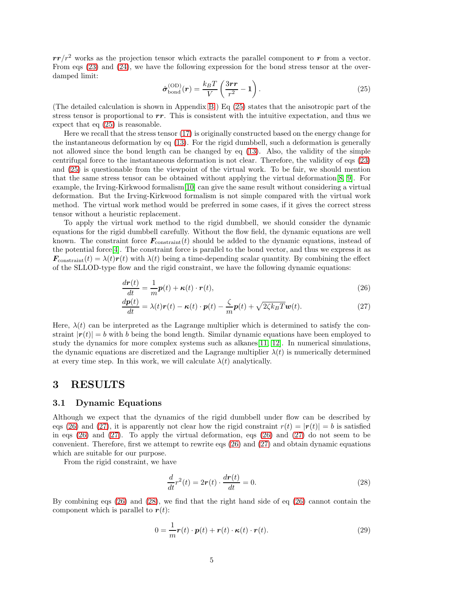$rr/r^2$  works as the projection tensor which extracts the parallel component to r from a vector. From eqs [\(23\)](#page-3-4) and [\(24\)](#page-3-5), we have the following expression for the bond stress tensor at the overdamped limit:

<span id="page-4-0"></span>
$$
\hat{\sigma}_{\text{bond}}^{(\text{OD})}(r) = \frac{k_B T}{V} \left( \frac{3rr}{r^2} - 1 \right). \tag{25}
$$

(The detailed calculation is shown in Appendix [B.](#page-10-1)) Eq [\(25\)](#page-4-0) states that the anisotropic part of the stress tensor is proportional to  $rr$ . This is consistent with the intuitive expectation, and thus we expect that eq [\(25\)](#page-4-0) is reasonable.

Here we recall that the stress tensor [\(17\)](#page-2-4) is originally constructed based on the energy change for the instantaneous deformation by eq [\(13\)](#page-2-3). For the rigid dumbbell, such a deformation is generally not allowed since the bond length can be changed by eq [\(13\)](#page-2-3). Also, the validity of the simple centrifugal force to the instantaneous deformation is not clear. Therefore, the validity of eqs [\(23\)](#page-3-4) and [\(25\)](#page-4-0) is questionable from the viewpoint of the virtual work. To be fair, we should mention that the same stress tensor can be obtained without applying the virtual deformation[\[8,](#page-13-2) [9\]](#page-13-3). For example, the Irving-Kirkwood formalism[\[10\]](#page-13-4) can give the same result without considering a virtual deformation. But the Irving-Kirkwood formalism is not simple compared with the virtual work method. The virtual work method would be preferred in some cases, if it gives the correct stress tensor without a heuristic replacement.

To apply the virtual work method to the rigid dumbbell, we should consider the dynamic equations for the rigid dumbbell carefully. Without the flow field, the dynamic equations are well known. The constraint force  $\mathbf{F}_{\text{constraint}}(t)$  should be added to the dynamic equations, instead of the potential force[\[4\]](#page-12-3). The constraint force is parallel to the bond vector, and thus we express it as  $\mathbf{F}_{\text{constraint}}(t) = \lambda(t)\mathbf{r}(t)$  with  $\lambda(t)$  being a time-depending scalar quantity. By combining the effect of the SLLOD-type flow and the rigid constraint, we have the following dynamic equations:

<span id="page-4-1"></span>
$$
\frac{d\mathbf{r}(t)}{dt} = \frac{1}{m}\mathbf{p}(t) + \boldsymbol{\kappa}(t) \cdot \mathbf{r}(t),\tag{26}
$$

<span id="page-4-2"></span>
$$
\frac{d\mathbf{p}(t)}{dt} = \lambda(t)\mathbf{r}(t) - \boldsymbol{\kappa}(t) \cdot \boldsymbol{p}(t) - \frac{\zeta}{m}\mathbf{p}(t) + \sqrt{2\zeta k_B T}\boldsymbol{w}(t).
$$
\n(27)

Here,  $\lambda(t)$  can be interpreted as the Lagrange multiplier which is determined to satisfy the constraint  $|r(t)| = b$  with b being the bond length. Similar dynamic equations have been employed to study the dynamics for more complex systems such as alkanes  $[11, 12]$  $[11, 12]$ . In numerical simulations, the dynamic equations are discretized and the Lagrange multiplier  $\lambda(t)$  is numerically determined at every time step. In this work, we will calculate  $\lambda(t)$  analytically.

### 3 RESULTS

### 3.1 Dynamic Equations

Although we expect that the dynamics of the rigid dumbbell under flow can be described by eqs [\(26\)](#page-4-1) and [\(27\)](#page-4-2), it is apparently not clear how the rigid constraint  $r(t) = |\mathbf{r}(t)| = b$  is satisfied in eqs  $(26)$  and  $(27)$ . To apply the virtual deformation, eqs  $(26)$  and  $(27)$  do not seem to be convenient. Therefore, first we attempt to rewrite eqs [\(26\)](#page-4-1) and [\(27\)](#page-4-2) and obtain dynamic equations which are suitable for our purpose.

From the rigid constraint, we have

<span id="page-4-3"></span>
$$
\frac{d}{dt}r^2(t) = 2r(t) \cdot \frac{dr(t)}{dt} = 0.
$$
\n(28)

By combining eqs [\(26\)](#page-4-1) and [\(28\)](#page-4-3), we find that the right hand side of eq [\(26\)](#page-4-1) cannot contain the component which is parallel to  $r(t)$ :

$$
0 = \frac{1}{m}\mathbf{r}(t)\cdot\mathbf{p}(t) + \mathbf{r}(t)\cdot\mathbf{\kappa}(t)\cdot\mathbf{r}(t).
$$
 (29)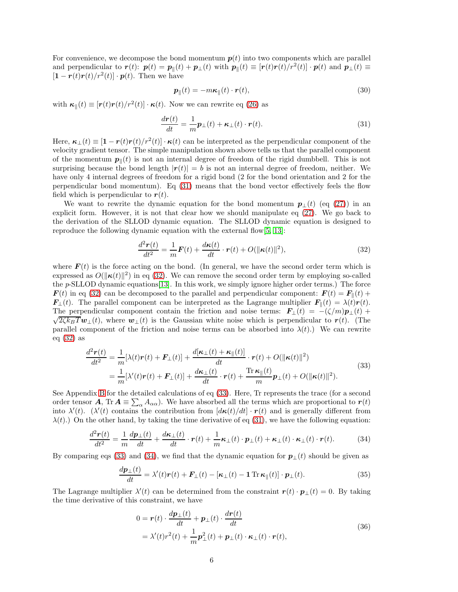For convenience, we decompose the bond momentum  $p(t)$  into two components which are parallel and perpendicular to  $\mathbf{r}(t)$ :  $\mathbf{p}(t) = \mathbf{p}_{\parallel}(t) + \mathbf{p}_{\perp}(t)$  with  $\mathbf{p}_{\parallel}(t) \equiv [\mathbf{r}(t)\mathbf{r}(t)/r^2(t)] \cdot \mathbf{p}(t)$  and  $\mathbf{p}_{\perp}(t) \equiv$  $[\mathbf{1} - \mathbf{r}(t)\mathbf{r}(t)/r^2(t)] \cdot \mathbf{p}(t)$ . Then we have

$$
\boldsymbol{p}_{\parallel}(t) = -m\boldsymbol{\kappa}_{\parallel}(t) \cdot \boldsymbol{r}(t),\tag{30}
$$

with  $\boldsymbol{\kappa}_{\parallel}(t) \equiv [\boldsymbol{r}(t)\boldsymbol{r}(t)/r^2(t)] \cdot \boldsymbol{\kappa}(t)$ . Now we can rewrite eq [\(26\)](#page-4-1) as

<span id="page-5-0"></span>
$$
\frac{d\boldsymbol{r}(t)}{dt} = \frac{1}{m}\boldsymbol{p}_{\perp}(t) + \boldsymbol{\kappa}_{\perp}(t) \cdot \boldsymbol{r}(t). \tag{31}
$$

Here,  $\kappa_{\perp}(t) \equiv [1 - r(t)r(t)/r^2(t)] \cdot \kappa(t)$  can be interpreted as the perpendicular component of the velocity gradient tensor. The simple manipulation shown above tells us that the parallel component of the momentum  $p_{\parallel}(t)$  is not an internal degree of freedom of the rigid dumbbell. This is not surprising because the bond length  $|r(t)| = b$  is not an internal degree of freedom, neither. We have only 4 internal degrees of freedom for a rigid bond (2 for the bond orientation and 2 for the perpendicular bond momentum). Eq [\(31\)](#page-5-0) means that the bond vector effectively feels the flow field which is perpendicular to  $r(t)$ .

We want to rewrite the dynamic equation for the bond momentum  $p_{\perp}(t)$  (eq [\(27\)](#page-4-2)) in an explicit form. However, it is not that clear how we should manipulate eq [\(27\)](#page-4-2). We go back to the derivation of the SLLOD dynamic equation. The SLLOD dynamic equation is designed to reproduce the following dynamic equation with the external flow[\[5,](#page-12-4) [13\]](#page-13-7):

<span id="page-5-1"></span>
$$
\frac{d^2\mathbf{r}(t)}{dt^2} = \frac{1}{m}\mathbf{F}(t) + \frac{d\mathbf{\kappa}(t)}{dt} \cdot \mathbf{r}(t) + O(\|\mathbf{\kappa}(t)\|^2),\tag{32}
$$

where  $F(t)$  is the force acting on the bond. (In general, we have the second order term which is expressed as  $O(||\boldsymbol{\kappa}(t)||^2)$  in eq [\(32\)](#page-5-1). We can remove the second order term by employing so-called the p-SLLOD dynamic equations[\[13\]](#page-13-7). In this work, we simply ignore higher order terms.) The force  $\mathbf{F}(t)$  in eq [\(32\)](#page-5-1) can be decomposed to the parallel and perpendicular component:  $\mathbf{F}(t) = \mathbf{F}_{\parallel}(t) +$  $\mathbf{F}_{\perp}(t)$ . The parallel component can be interpreted as the Lagrange multiplier  $\mathbf{F}_{\parallel}(t) = \lambda(t)\mathbf{r}(t)$ . The perpendicular component contain the friction and noise terms:  $\mathbf{F}_{\perp}(t) = -(\zeta/m)\mathbf{p}_{\perp}(t) +$  $\sqrt{2\zeta k_BT}$  w<sub>⊥</sub>(t), where  $w_{\perp}(t)$  is the Gaussian white noise which is perpendicular to  $r(t)$ . (The parallel component of the friction and noise terms can be absorbed into  $\lambda(t)$ .) We can rewrite eq  $(32)$  as

$$
\frac{d^2\mathbf{r}(t)}{dt^2} = \frac{1}{m}[\lambda(t)\mathbf{r}(t) + \mathbf{F}_{\perp}(t)] + \frac{d[\kappa_{\perp}(t) + \kappa_{\parallel}(t)]}{dt} \cdot \mathbf{r}(t) + O(\|\kappa(t)\|^2)
$$
\n
$$
= \frac{1}{m}[\lambda'(t)\mathbf{r}(t) + \mathbf{F}_{\perp}(t)] + \frac{d\kappa_{\perp}(t)}{dt} \cdot \mathbf{r}(t) + \frac{\text{Tr}\,\kappa_{\parallel}(t)}{m}\mathbf{p}_{\perp}(t) + O(\|\kappa(t)\|^2).
$$
\n(33)

<span id="page-5-2"></span>See Appendix [B](#page-10-1) for the detailed calculations of eq [\(33\)](#page-5-2). Here, Tr represents the trace (for a second order tensor  $\mathbf{A}$ , Tr  $\mathbf{A} \equiv \sum_{\alpha} A_{\alpha \alpha}$ . We have absorbed all the terms which are proportional to  $\mathbf{r}(t)$ into  $\lambda'(t)$ . ( $\lambda'(t)$  contains the contribution from  $\left[ d\kappa(t)/dt \right] \cdot r(t)$  and is generally different from  $\lambda(t)$ .) On the other hand, by taking the time derivative of eq [\(31\)](#page-5-0), we have the following equation:

<span id="page-5-3"></span>
$$
\frac{d^2\mathbf{r}(t)}{dt^2} = \frac{1}{m}\frac{d\mathbf{p}_{\perp}(t)}{dt} + \frac{d\mathbf{\kappa}_{\perp}(t)}{dt} \cdot \mathbf{r}(t) + \frac{1}{m}\mathbf{\kappa}_{\perp}(t) \cdot \mathbf{p}_{\perp}(t) + \mathbf{\kappa}_{\perp}(t) \cdot \mathbf{\kappa}_{\perp}(t) \cdot \mathbf{r}(t).
$$
(34)

By comparing eqs [\(33\)](#page-5-2) and [\(34\)](#page-5-3), we find that the dynamic equation for  $\mathbf{p}_{\perp}(t)$  should be given as

$$
\frac{d\mathbf{p}_{\perp}(t)}{dt} = \lambda'(t)\mathbf{r}(t) + \mathbf{F}_{\perp}(t) - [\mathbf{\kappa}_{\perp}(t) - \mathbf{1}\operatorname{Tr}\mathbf{\kappa}_{\parallel}(t)] \cdot \mathbf{p}_{\perp}(t). \tag{35}
$$

The Lagrange multiplier  $\lambda'(t)$  can be determined from the constraint  $\mathbf{r}(t) \cdot \mathbf{p}_{\perp}(t) = 0$ . By taking the time derivative of this constraint, we have

$$
0 = \boldsymbol{r}(t) \cdot \frac{d\boldsymbol{p}_{\perp}(t)}{dt} + \boldsymbol{p}_{\perp}(t) \cdot \frac{d\boldsymbol{r}(t)}{dt}
$$
  
=  $\lambda'(t)r^2(t) + \frac{1}{m}\boldsymbol{p}_{\perp}^2(t) + \boldsymbol{p}_{\perp}(t) \cdot \boldsymbol{\kappa}_{\perp}(t) \cdot \boldsymbol{r}(t),$  (36)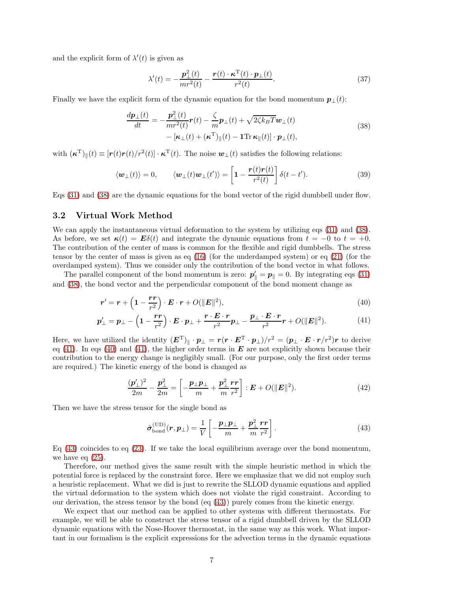and the explicit form of  $\lambda'(t)$  is given as

$$
\lambda'(t) = -\frac{\mathbf{p}_\perp^2(t)}{mr^2(t)} - \frac{\mathbf{r}(t) \cdot \mathbf{\kappa}^\mathrm{T}(t) \cdot \mathbf{p}_\perp(t)}{r^2(t)}.
$$
\n(37)

<span id="page-6-0"></span>Finally we have the explicit form of the dynamic equation for the bond momentum  $p_{\perp}(t)$ :

$$
\frac{d\boldsymbol{p}_{\perp}(t)}{dt} = -\frac{\boldsymbol{p}_{\perp}^2(t)}{mr^2(t)} \boldsymbol{r}(t) - \frac{\zeta}{m} \boldsymbol{p}_{\perp}(t) + \sqrt{2\zeta k_B T} \boldsymbol{w}_{\perp}(t) \n- \left[ \boldsymbol{\kappa}_{\perp}(t) + (\boldsymbol{\kappa}^{\mathrm{T}})_{\parallel}(t) - \mathbf{1} \text{Tr} \, \boldsymbol{\kappa}_{\parallel}(t) \right] \cdot \boldsymbol{p}_{\perp}(t),
$$
\n(38)

with  $(\boldsymbol{\kappa}^{\mathrm{T}})_{\parallel}(t) \equiv [\boldsymbol{r}(t)\boldsymbol{r}(t)/r^2(t)] \cdot \boldsymbol{\kappa}^{\mathrm{T}}(t)$ . The noise  $\boldsymbol{w}_{\perp}(t)$  satisfies the following relations:

<span id="page-6-4"></span>
$$
\langle \boldsymbol{w}_{\perp}(t) \rangle = 0, \qquad \langle \boldsymbol{w}_{\perp}(t) \boldsymbol{w}_{\perp}(t') \rangle = \left[ 1 - \frac{\boldsymbol{r}(t) \boldsymbol{r}(t)}{r^2(t)} \right] \delta(t - t'). \tag{39}
$$

Eqs [\(31\)](#page-5-0) and [\(38\)](#page-6-0) are the dynamic equations for the bond vector of the rigid dumbbell under flow.

#### 3.2 Virtual Work Method

We can apply the instantaneous virtual deformation to the system by utilizing eqs [\(31\)](#page-5-0) and [\(38\)](#page-6-0). As before, we set  $\kappa(t) = E\delta(t)$  and integrate the dynamic equations from  $t = -0$  to  $t = +0$ . The contribution of the center of mass is common for the flexible and rigid dumbbells. The stress tensor by the center of mass is given as eq [\(16\)](#page-2-5) (for the underdamped system) or eq [\(21\)](#page-3-2) (for the overdamped system). Thus we consider only the contribution of the bond vector in what follows.

The parallel component of the bond momentum is zero:  $p'_{\parallel} = p_{\parallel} = 0$ . By integrating eqs [\(31\)](#page-5-0) and [\(38\)](#page-6-0), the bond vector and the perpendicular component of the bond moment change as

$$
\boldsymbol{r}' = \boldsymbol{r} + \left(1 - \frac{\boldsymbol{r}\boldsymbol{r}}{r^2}\right) \cdot \boldsymbol{E} \cdot \boldsymbol{r} + O(\|\boldsymbol{E}\|^2),\tag{40}
$$

$$
\boldsymbol{p}'_{\perp} = \boldsymbol{p}_{\perp} - \left(1 - \frac{\boldsymbol{r}\boldsymbol{r}}{r^2}\right) \cdot \boldsymbol{E} \cdot \boldsymbol{p}_{\perp} + \frac{\boldsymbol{r} \cdot \boldsymbol{E} \cdot \boldsymbol{r}}{r^2} \boldsymbol{p}_{\perp} - \frac{\boldsymbol{p}_{\perp} \cdot \boldsymbol{E} \cdot \boldsymbol{r}}{r^2} \boldsymbol{r} + O(\|\boldsymbol{E}\|^2). \tag{41}
$$

Here, we have utilized the identity  $(E^T)|_h \cdot p_\perp = r(r \cdot E^T \cdot p_\perp)/r^2 = (p_\perp \cdot E \cdot r/r^2)r$  to derive eq [\(41\)](#page-6-1). In eqs [\(40\)](#page-6-2) and (41), the higher order terms in  $\bf{E}$  are not explicitly shown because their contribution to the energy change is negligibly small. (For our purpose, only the first order terms are required.) The kinetic energy of the bond is changed as

<span id="page-6-2"></span>
$$
\frac{(\mathbf{p}'_{\perp})^2}{2m} - \frac{\mathbf{p}_{\perp}^2}{2m} = \left[ -\frac{\mathbf{p}_{\perp}\mathbf{p}_{\perp}}{m} + \frac{\mathbf{p}_{\perp}^2}{m} \frac{\mathbf{r}\mathbf{r}}{r^2} \right] : \mathbf{E} + O(||\mathbf{E}||^2). \tag{42}
$$

Then we have the stress tensor for the single bond as

<span id="page-6-3"></span><span id="page-6-1"></span>
$$
\hat{\sigma}_{\text{bond}}^{(\text{UD})}(\boldsymbol{r}, \boldsymbol{p}_{\perp}) = \frac{1}{V} \left[ -\frac{\boldsymbol{p}_{\perp} \boldsymbol{p}_{\perp}}{m} + \frac{\boldsymbol{p}_{\perp}^2}{m} \frac{\boldsymbol{r} \boldsymbol{r}}{r^2} \right]. \tag{43}
$$

Eq [\(43\)](#page-6-3) coincides to eq [\(23\)](#page-3-4). If we take the local equilibrium average over the bond momentum, we have eq [\(25\)](#page-4-0).

Therefore, our method gives the same result with the simple heuristic method in which the potential force is replaced by the constraint force. Here we emphasize that we did not employ such a heuristic replacement. What we did is just to rewrite the SLLOD dynamic equations and applied the virtual deformation to the system which does not violate the rigid constraint. According to our derivation, the stress tensor by the bond (eq [\(43\)](#page-6-3)) purely comes from the kinetic energy.

We expect that our method can be applied to other systems with different thermostats. For example, we will be able to construct the stress tensor of a rigid dumbbell driven by the SLLOD dynamic equations with the Nose-Hoover thermostat, in the same way as this work. What important in our formalism is the explicit expressions for the advection terms in the dynamic equations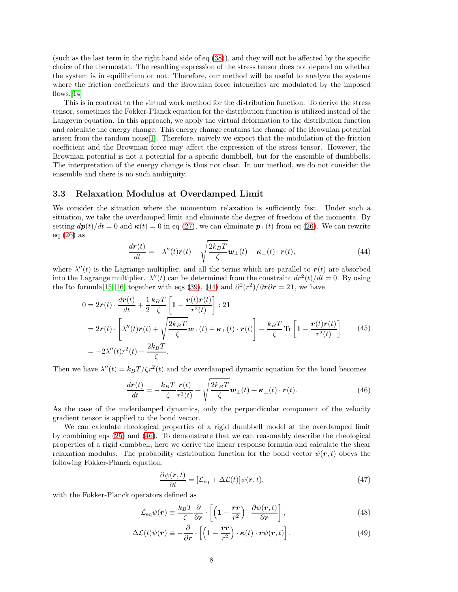(such as the last term in the right hand side of eq [\(38\)](#page-6-0)), and they will not be affected by the specific choice of the thermostat. The resulting expression of the stress tensor does not depend on whether the system is in equilibrium or not. Therefore, our method will be useful to analyze the systems where the friction coefficients and the Brownian force intencities are modulated by the imposed flows. $[14]$ 

This is in contrast to the virtual work method for the distribution function. To derive the stress tensor, sometimes the Fokker-Planck equation for the distribution function is utilized instead of the Langevin equation. In this approach, we apply the virtual deformation to the distribution function and calculate the energy change. This energy change contains the change of the Brownian potential arisen from the random noise[\[1\]](#page-12-0). Therefore, naively we expect that the modulation of the friction coefficient and the Brownian force may affect the expression of the stress tensor. However, the Brownian potential is not a potential for a specific dumbbell, but for the ensemble of dumbbells. The interpretation of the energy change is thus not clear. In our method, we do not consider the ensemble and there is no such ambiguity.

#### 3.3 Relaxation Modulus at Overdamped Limit

We consider the situation where the momentum relaxation is sufficiently fast. Under such a situation, we take the overdamped limit and eliminate the degree of freedom of the momenta. By setting  $dp(t)/dt = 0$  and  $\kappa(t) = 0$  in eq [\(27\)](#page-4-2), we can eliminate  $p_{\perp}(t)$  from eq [\(26\)](#page-4-1). We can rewrite eq  $(26)$  as

<span id="page-7-0"></span>
$$
\frac{d\boldsymbol{r}(t)}{dt} = -\lambda''(t)\boldsymbol{r}(t) + \sqrt{\frac{2k_BT}{\zeta}}\boldsymbol{w}_\perp(t) + \boldsymbol{\kappa}_\perp(t) \cdot \boldsymbol{r}(t),\tag{44}
$$

where  $\lambda''(t)$  is the Lagrange multiplier, and all the terms which are parallel to  $r(t)$  are absorbed into the Lagrange multiplier.  $\lambda''(t)$  can be determined from the constraint  $dr^2(t)/dt = 0$ . By using the Ito formula<sup>[\[15,](#page-13-9)16]</sup> together with eqs [\(39\)](#page-6-4), [\(44\)](#page-7-0) and  $\partial^2(r^2)/\partial r \partial r = 21$ , we have

$$
0 = 2r(t) \cdot \frac{dr(t)}{dt} + \frac{1}{2} \frac{k_B T}{\zeta} \left[ 1 - \frac{r(t)r(t)}{r^2(t)} \right] : 21
$$
  
=  $2r(t) \cdot \left[ \lambda''(t)r(t) + \sqrt{\frac{2k_B T}{\zeta}} \mathbf{w}_{\perp}(t) + \kappa_{\perp}(t) \cdot r(t) \right] + \frac{k_B T}{\zeta} \text{Tr} \left[ 1 - \frac{r(t)r(t)}{r^2(t)} \right]$  (45)  
=  $-2\lambda''(t)r^2(t) + \frac{2k_B T}{\zeta}.$ 

Then we have  $\lambda''(t) = k_B T / \zeta r^2(t)$  and the overdamped dynamic equation for the bond becomes

<span id="page-7-1"></span>
$$
\frac{d\boldsymbol{r}(t)}{dt} = -\frac{k_B T}{\zeta} \frac{\boldsymbol{r}(t)}{r^2(t)} + \sqrt{\frac{2k_B T}{\zeta}} \boldsymbol{w}_\perp(t) + \boldsymbol{\kappa}_\perp(t) \cdot \boldsymbol{r}(t). \tag{46}
$$

As the case of the underdamped dynamics, only the perpendicular component of the velocity gradient tensor is applied to the bond vector.

We can calculate rheological properties of a rigid dumbbell model at the overdamped limit by combining eqs [\(25\)](#page-4-0) and [\(46\)](#page-7-1). To demonstrate that we can reasonably describe the rheological properties of a rigid dumbbell, here we derive the linear response formula and calculate the shear relaxation modulus. The probability distribution function for the bond vector  $\psi(\mathbf{r},t)$  obeys the following Fokker-Planck equation:

<span id="page-7-2"></span>
$$
\frac{\partial \psi(\mathbf{r},t)}{\partial t} = [\mathcal{L}_{\text{eq}} + \Delta \mathcal{L}(t)] \psi(\mathbf{r},t),\tag{47}
$$

with the Fokker-Planck operators defined as

$$
\mathcal{L}_{\text{eq}}\psi(\boldsymbol{r}) \equiv \frac{k_B T}{\zeta} \frac{\partial}{\partial \boldsymbol{r}} \cdot \left[ \left( 1 - \frac{\boldsymbol{r} \boldsymbol{r}}{r^2} \right) \cdot \frac{\partial \psi(\boldsymbol{r}, t)}{\partial \boldsymbol{r}} \right],\tag{48}
$$

$$
\Delta \mathcal{L}(t)\psi(\mathbf{r}) \equiv -\frac{\partial}{\partial \mathbf{r}} \cdot \left[ \left( \mathbf{1} - \frac{\mathbf{r}\mathbf{r}}{r^2} \right) \cdot \kappa(t) \cdot \mathbf{r}\psi(\mathbf{r}, t) \right]. \tag{49}
$$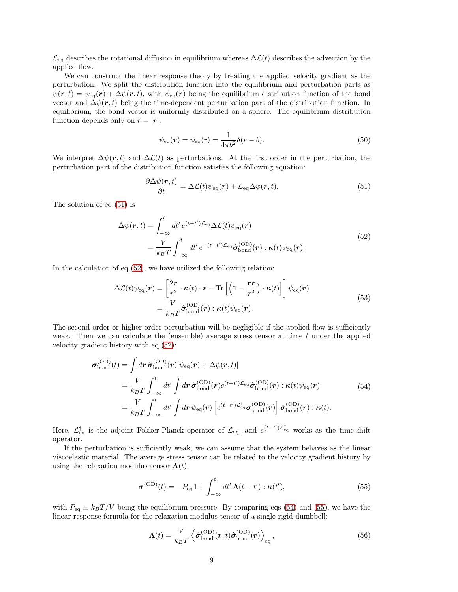$\mathcal{L}_{eq}$  describes the rotational diffusion in equilibrium whereas  $\Delta \mathcal{L}(t)$  describes the advection by the applied flow.

We can construct the linear response theory by treating the applied velocity gradient as the perturbation. We split the distribution function into the equilibrium and perturbation parts as  $\psi(r, t) = \psi_{\text{eq}}(r) + \Delta \psi(r, t)$ , with  $\psi_{\text{eq}}(r)$  being the equilibrium distribution function of the bond vector and  $\Delta \psi(r, t)$  being the time-dependent perturbation part of the distribution function. In equilibrium, the bond vector is uniformly distributed on a sphere. The equilibrium distribution function depends only on  $r = |\mathbf{r}|$ :

<span id="page-8-5"></span>
$$
\psi_{\text{eq}}(\boldsymbol{r}) = \psi_{\text{eq}}(r) = \frac{1}{4\pi b^2} \delta(r - b). \tag{50}
$$

We interpret  $\Delta \psi(r, t)$  and  $\Delta \mathcal{L}(t)$  as perturbations. At the first order in the perturbation, the perturbation part of the distribution function satisfies the following equation:

<span id="page-8-0"></span>
$$
\frac{\partial \Delta \psi(\mathbf{r},t)}{\partial t} = \Delta \mathcal{L}(t) \psi_{\text{eq}}(\mathbf{r}) + \mathcal{L}_{\text{eq}} \Delta \psi(\mathbf{r},t). \tag{51}
$$

The solution of eq [\(51\)](#page-8-0) is

$$
\Delta\psi(\mathbf{r},t) = \int_{-\infty}^{t} dt' e^{(t-t')\mathcal{L}_{\text{eq}}}\Delta\mathcal{L}(t)\psi_{\text{eq}}(\mathbf{r})
$$
\n
$$
= \frac{V}{k_B T} \int_{-\infty}^{t} dt' e^{-(t-t')\mathcal{L}_{\text{eq}}}\hat{\sigma}_{\text{bond}}^{(\text{OD})}(\mathbf{r}) : \kappa(t)\psi_{\text{eq}}(\mathbf{r}).
$$
\n(52)

<span id="page-8-1"></span>In the calculation of eq [\(52\)](#page-8-1), we have utilized the following relation:

$$
\Delta \mathcal{L}(t) \psi_{\text{eq}}(\mathbf{r}) = \left[ \frac{2\mathbf{r}}{r^2} \cdot \kappa(t) \cdot \mathbf{r} - \text{Tr} \left[ \left( 1 - \frac{\mathbf{r} \mathbf{r}}{r^2} \right) \cdot \kappa(t) \right] \right] \psi_{\text{eq}}(\mathbf{r})
$$
\n
$$
= \frac{V}{k_B T} \hat{\sigma}_{\text{bond}}^{(\text{OD})}(\mathbf{r}) : \kappa(t) \psi_{\text{eq}}(\mathbf{r}).
$$
\n(53)

The second order or higher order perturbation will be negligible if the applied flow is sufficiently weak. Then we can calculate the (ensemble) average stress tensor at time  $t$  under the applied velocity gradient history with eq [\(52\)](#page-8-1):

$$
\sigma_{\text{bond}}^{(\text{OD})}(t) = \int dr \,\hat{\sigma}_{\text{bond}}^{(\text{OD})}(\mathbf{r})[\psi_{\text{eq}}(\mathbf{r}) + \Delta\psi(\mathbf{r},t)]
$$
\n
$$
= \frac{V}{k_B T} \int_{-\infty}^{t} dt' \int dr \,\hat{\sigma}_{\text{bond}}^{(\text{OD})}(\mathbf{r}) e^{(t-t')\mathcal{L}_{\text{eq}}} \hat{\sigma}_{\text{bond}}^{(\text{OD})}(\mathbf{r}) : \kappa(t)\psi_{\text{eq}}(\mathbf{r})
$$
\n
$$
= \frac{V}{k_B T} \int_{-\infty}^{t} dt' \int dr \,\psi_{\text{eq}}(\mathbf{r}) \left[ e^{(t-t')\mathcal{L}_{\text{eq}}^{\dagger} \hat{\boldsymbol{\sigma}}_{\text{bond}}^{(\text{OD})}(\mathbf{r})} \right] \hat{\boldsymbol{\sigma}}_{\text{bond}}^{(\text{OD})}(\mathbf{r}) : \kappa(t). \tag{54}
$$

<span id="page-8-2"></span>Here,  $\mathcal{L}_{\text{eq}}^{\dagger}$  is the adjoint Fokker-Planck operator of  $\mathcal{L}_{\text{eq}}$ , and  $e^{(t-t')\mathcal{L}_{\text{eq}}^{\dagger}}$  works as the time-shift operator.

If the perturbation is sufficiently weak, we can assume that the system behaves as the linear viscoelastic material. The average stress tensor can be related to the velocity gradient history by using the relaxation modulus tensor  $\Lambda(t)$ :

<span id="page-8-3"></span>
$$
\boldsymbol{\sigma}^{(\text{OD})}(t) = -P_{\text{eq}}\mathbf{1} + \int_{-\infty}^{t} dt' \,\boldsymbol{\Lambda}(t - t') : \boldsymbol{\kappa}(t'), \tag{55}
$$

with  $P_{eq} \equiv k_B T/V$  being the equilibrium pressure. By comparing eqs [\(54\)](#page-8-2) and [\(55\)](#page-8-3), we have the linear response formula for the relaxation modulus tensor of a single rigid dumbbell:

<span id="page-8-4"></span>
$$
\mathbf{\Lambda}(t) = \frac{V}{k_B T} \left\langle \hat{\boldsymbol{\sigma}}_{\text{bond}}^{(\text{OD})}(\boldsymbol{r}, t) \hat{\boldsymbol{\sigma}}_{\text{bond}}^{(\text{OD})}(\boldsymbol{r}) \right\rangle_{\text{eq}},
$$
\n(56)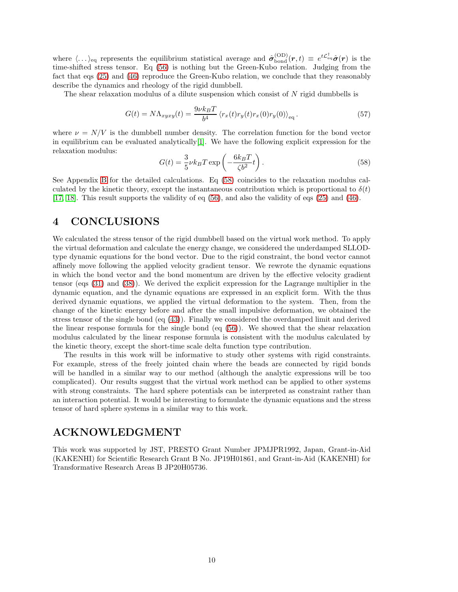where  $\langle \ldots \rangle_{\text{eq}}$  represents the equilibrium statistical average and  $\hat{\sigma}_{\text{bond}}^{(\text{OD})}(r, t) \equiv e^{t\mathcal{L}_{\text{eq}}^{\dagger}} \hat{\sigma}(r)$  is the time-shifted stress tensor. Eq [\(56\)](#page-8-4) is nothing but the Green-Kubo relation. Judging from the fact that eqs [\(25\)](#page-4-0) and [\(46\)](#page-7-1) reproduce the Green-Kubo relation, we conclude that they reasonably describe the dynamics and rheology of the rigid dumbbell.

The shear relaxation modulus of a dilute suspension which consist of  $N$  rigid dumbbells is

<span id="page-9-1"></span>
$$
G(t) = N\Lambda_{xyxy}(t) = \frac{9\nu k_B T}{b^4} \left\langle r_x(t)r_y(t)r_x(0)r_y(0) \right\rangle_{\text{eq}}.\tag{57}
$$

where  $\nu = N/V$  is the dumbbell number density. The correlation function for the bond vector in equilibrium can be evaluated analytically  $[1]$ . We have the following explicit expression for the relaxation modulus:

<span id="page-9-0"></span>
$$
G(t) = \frac{3}{5} \nu k_B T \exp\left(-\frac{6k_B T}{\zeta b^2} t\right). \tag{58}
$$

See Appendix [B](#page-10-1) for the detailed calculations. Eq [\(58\)](#page-9-0) coincides to the relaxation modulus calculated by the kinetic theory, except the instantaneous contribution which is proportional to  $\delta(t)$ [\[17,](#page-13-11) [18\]](#page-13-12). This result supports the validity of eq [\(56\)](#page-8-4), and also the validity of eqs [\(25\)](#page-4-0) and [\(46\)](#page-7-1).

## 4 CONCLUSIONS

We calculated the stress tensor of the rigid dumbbell based on the virtual work method. To apply the virtual deformation and calculate the energy change, we considered the underdamped SLLODtype dynamic equations for the bond vector. Due to the rigid constraint, the bond vector cannot affinely move following the applied velocity gradient tensor. We rewrote the dynamic equations in which the bond vector and the bond momentum are driven by the effective velocity gradient tensor (eqs [\(31\)](#page-5-0) and [\(38\)](#page-6-0)). We derived the explicit expression for the Lagrange multiplier in the dynamic equation, and the dynamic equations are expressed in an explicit form. With the thus derived dynamic equations, we applied the virtual deformation to the system. Then, from the change of the kinetic energy before and after the small impulsive deformation, we obtained the stress tensor of the single bond (eq [\(43\)](#page-6-3)). Finally we considered the overdamped limit and derived the linear response formula for the single bond (eq [\(56\)](#page-8-4)). We showed that the shear relaxation modulus calculated by the linear response formula is consistent with the modulus calculated by the kinetic theory, except the short-time scale delta function type contribution.

The results in this work will be informative to study other systems with rigid constraints. For example, stress of the freely jointed chain where the beads are connected by rigid bonds will be handled in a similar way to our method (although the analytic expressions will be too complicated). Our results suggest that the virtual work method can be applied to other systems with strong constraints. The hard sphere potentials can be interpreted as constraint rather than an interaction potential. It would be interesting to formulate the dynamic equations and the stress tensor of hard sphere systems in a similar way to this work.

## ACKNOWLEDGMENT

This work was supported by JST, PRESTO Grant Number JPMJPR1992, Japan, Grant-in-Aid (KAKENHI) for Scientific Research Grant B No. JP19H01861, and Grant-in-Aid (KAKENHI) for Transformative Research Areas B JP20H05736.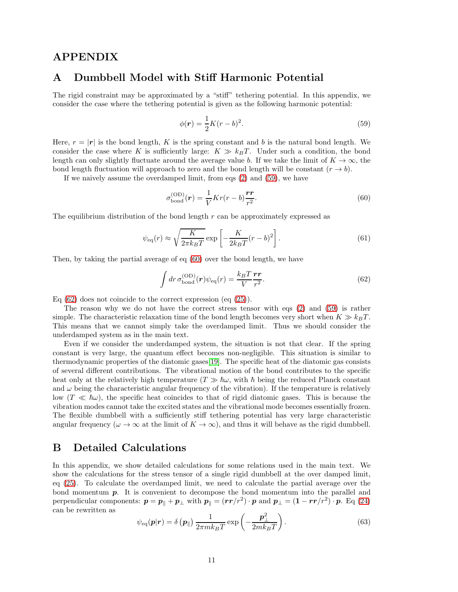### <span id="page-10-0"></span>APPENDIX

### A Dumbbell Model with Stiff Harmonic Potential

The rigid constraint may be approximated by a "stiff" tethering potential. In this appendix, we consider the case where the tethering potential is given as the following harmonic potential:

<span id="page-10-2"></span>
$$
\phi(r) = \frac{1}{2}K(r - b)^2.
$$
\n(59)

Here,  $r = |\mathbf{r}|$  is the bond length, K is the spring constant and b is the natural bond length. We consider the case where K is sufficiently large:  $K \gg k_B T$ . Under such a condition, the bond length can only slightly fluctuate around the average value b. If we take the limit of  $K \to \infty$ , the bond length fluctuation will approach to zero and the bond length will be constant  $(r \to b)$ .

If we naively assume the overdamped limit, from eqs [\(2\)](#page-1-3) and [\(59\)](#page-10-2), we have

<span id="page-10-3"></span>
$$
\sigma_{\text{bond}}^{(\text{OD})}(\boldsymbol{r}) = \frac{1}{V} Kr(r-b)\frac{\boldsymbol{r}\boldsymbol{r}}{r^2}.
$$
\n(60)

The equilibrium distribution of the bond length  $r$  can be approximately expressed as

$$
\psi_{\text{eq}}(r) \approx \sqrt{\frac{K}{2\pi k_B T}} \exp\left[-\frac{K}{2k_B T}(r-b)^2\right].\tag{61}
$$

Then, by taking the partial average of eq [\(60\)](#page-10-3) over the bond length, we have

<span id="page-10-4"></span>
$$
\int dr \,\sigma_{\text{bond}}^{(\text{OD})}(\boldsymbol{r})\psi_{\text{eq}}(r) = \frac{k_B T}{V} \frac{\boldsymbol{r} \boldsymbol{r}}{r^2}.
$$
\n(62)

Eq  $(62)$  does not coincide to the correct expression  $(eq (25)).$  $(eq (25)).$  $(eq (25)).$ 

The reason why we do not have the correct stress tensor with eqs [\(2\)](#page-1-3) and [\(59\)](#page-10-2) is rather simple. The characteristic relaxation time of the bond length becomes very short when  $K \gg k_B T$ . This means that we cannot simply take the overdamped limit. Thus we should consider the underdamped system as in the main text.

Even if we consider the underdamped system, the situation is not that clear. If the spring constant is very large, the quantum effect becomes non-negligible. This situation is similar to thermodynamic properties of the diatomic gases[\[19\]](#page-13-13). The specific heat of the diatomic gas consists of several different contributions. The vibrational motion of the bond contributes to the specific heat only at the relatively high temperature  $(T \gg \hbar \omega, \text{ with } \hbar \text{ being the reduced Planck constant})$ and  $\omega$  being the characteristic angular frequency of the vibration). If the temperature is relatively low  $(T \ll \hbar \omega)$ , the specific heat coincides to that of rigid diatomic gases. This is because the vibration modes cannot take the excited states and the vibrational mode becomes essentially frozen. The flexible dumbbell with a sufficiently stiff tethering potential has very large characteristic angular frequency ( $\omega \to \infty$  at the limit of  $K \to \infty$ ), and thus it will behave as the rigid dumbbell.

## <span id="page-10-1"></span>B Detailed Calculations

In this appendix, we show detailed calculations for some relations used in the main text. We show the calculations for the stress tensor of a single rigid dumbbell at the over damped limit, eq [\(25\)](#page-4-0). To calculate the overdamped limit, we need to calculate the partial average over the bond momentum p. It is convenient to decompose the bond momentum into the parallel and perpendicular components:  $p = p_{\parallel} + p_{\perp}$  with  $p_{\parallel} = (rr/r^2) \cdot p$  and  $p_{\perp} = (1 - rr/r^2) \cdot p$ . Eq [\(24\)](#page-3-5) can be rewritten as

$$
\psi_{\text{eq}}(\boldsymbol{p}|\boldsymbol{r}) = \delta\left(\boldsymbol{p}_{\parallel}\right) \frac{1}{2\pi mk_BT} \exp\left(-\frac{\boldsymbol{p}_{\perp}^2}{2mk_BT}\right). \tag{63}
$$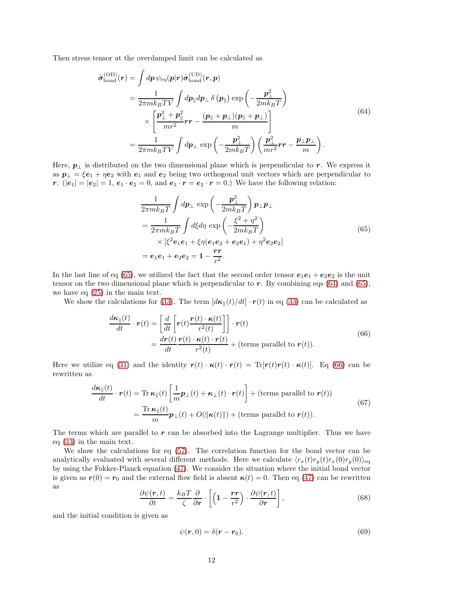<span id="page-11-1"></span>Then stress tensor at the overdamped limit can be calculated as

$$
\hat{\sigma}_{\text{bond}}^{(\text{OD})}(\boldsymbol{r}) = \int dp \,\psi_{\text{eq}}(\boldsymbol{p}|\boldsymbol{r}) \hat{\sigma}_{\text{bond}}^{(\text{UD})}(\boldsymbol{r}, \boldsymbol{p}) \n= \frac{1}{2\pi mk_B T V} \int dp_{\parallel} d\boldsymbol{p}_{\perp} \,\delta(\boldsymbol{p}_{\parallel}) \exp\left(-\frac{\boldsymbol{p}_{\perp}^2}{2mk_B T}\right) \n\times \left[\frac{\boldsymbol{p}_{\perp}^2 + \boldsymbol{p}_{\parallel}^2}{mr^2} \boldsymbol{r} \boldsymbol{r} - \frac{(\boldsymbol{p}_{\parallel} + \boldsymbol{p}_{\perp})(\boldsymbol{p}_{\parallel} + \boldsymbol{p}_{\perp})}{m}\right] \n= \frac{1}{2\pi mk_B T V} \int d\boldsymbol{p}_{\perp} \exp\left(-\frac{\boldsymbol{p}_{\perp}^2}{2mk_B T}\right) \left(\frac{\boldsymbol{p}_{\perp}^2}{mr^2} \boldsymbol{r} \boldsymbol{r} - \frac{\boldsymbol{p}_{\perp} \boldsymbol{p}_{\perp}}{m}\right).
$$
\n(64)

Here,  $p_{\perp}$  is distributed on the two dimensional plane which is perpendicular to r. We express it as  $p_{\perp} = \xi e_1 + \eta e_2$  with  $e_1$  and  $e_2$  being two orthogonal unit vectors which are perpendicular to r.  $(|e_1| = |e_2| = 1, e_1 \cdot e_2 = 0,$  and  $e_1 \cdot r = e_2 \cdot r = 0.$  We have the following relation:

$$
\frac{1}{2\pi mk_BT} \int dp_{\perp} \exp\left(-\frac{\mathbf{p}_{\perp}^2}{2mk_BT}\right) \mathbf{p}_{\perp}\mathbf{p}_{\perp}
$$
\n
$$
= \frac{1}{2\pi mk_BT} \int d\xi d\eta \exp\left(-\frac{\xi^2 + \eta^2}{2mk_BT}\right)
$$
\n
$$
\times \left[\xi^2 e_1 e_1 + \xi \eta (e_1 e_2 + e_2 e_1) + \eta^2 e_2 e_2\right]
$$
\n
$$
= e_1 e_1 + e_2 e_2 = 1 - \frac{rr}{r^2}.
$$
\n(65)

<span id="page-11-0"></span>In the last line of eq [\(65\)](#page-11-0), we utilized the fact that the second order tensor  $e_1e_1 + e_2e_2$  is the unit tensor on the two dimensional plane which is perpendicular to  $r$ . By combining eqs [\(64\)](#page-11-1) and [\(65\)](#page-11-0), we have eq [\(25\)](#page-4-0) in the main text.

We show the calculations for [\(33\)](#page-5-2). The term  $\left|\frac{d\kappa}{t}\right| \left(t\right)/dt$  ·  $r(t)$  in eq (33) can be calculated as

$$
\frac{d\boldsymbol{\kappa}_{\parallel}(t)}{dt} \cdot \boldsymbol{r}(t) = \left[ \frac{d}{dt} \left[ \boldsymbol{r}(t) \frac{\boldsymbol{r}(t) \cdot \boldsymbol{\kappa}(t)}{r^2(t)} \right] \right] \cdot \boldsymbol{r}(t)
$$
\n
$$
= \frac{d\boldsymbol{r}(t)}{dt} \frac{\boldsymbol{r}(t) \cdot \boldsymbol{\kappa}(t) \cdot \boldsymbol{r}(t)}{r^2(t)} + (\text{terms parallel to } \boldsymbol{r}(t)). \tag{66}
$$

<span id="page-11-2"></span>Here we utilize eq [\(31\)](#page-5-0) and the identity  $r(t) \cdot \kappa(t) \cdot r(t) = \text{Tr}[r(t)r(t) \cdot \kappa(t)]$ . Eq [\(66\)](#page-11-2) can be rewritten as

$$
\frac{d\kappa_{\parallel}(t)}{dt} \cdot \boldsymbol{r}(t) = \text{Tr} \,\kappa_{\parallel}(t) \left[ \frac{1}{m} \boldsymbol{p}_{\perp}(t) + \boldsymbol{\kappa}_{\perp}(t) \cdot \boldsymbol{r}(t) \right] + (\text{terms parallel to } \boldsymbol{r}(t))
$$
\n
$$
= \frac{\text{Tr} \,\kappa_{\parallel}(t)}{m} \boldsymbol{p}_{\perp}(t) + O(\|\boldsymbol{\kappa}(t)\|) + (\text{terms parallel to } \boldsymbol{r}(t)).
$$
\n(67)

The terms which are parallel to  $r$  can be absorbed into the Lagrange multiplier. Thus we have eq [\(33\)](#page-5-2) in the main text.

We show the calculations for eq [\(57\)](#page-9-1). The correlation function for the bond vector can be analytically evaluated with several different methods. Here we calculate  $\langle r_x(t)r_y(t)r_x(0)r_y(0)\rangle_{\text{eq}}$ by using the Fokker-Planck equation [\(47\)](#page-7-2). We consider the situation where the initial bond vector is given as  $r(0) = r_0$  and the external flow field is absent  $\kappa(t) = 0$ . Then eq [\(47\)](#page-7-2) can be rewritten as

<span id="page-11-3"></span>
$$
\frac{\partial \psi(\mathbf{r},t)}{\partial t} = \frac{k_B T}{\zeta} \frac{\partial}{\partial \mathbf{r}} \cdot \left[ \left( 1 - \frac{\mathbf{r} \mathbf{r}}{r^2} \right) \cdot \frac{\partial \psi(\mathbf{r},t)}{\partial \mathbf{r}} \right],\tag{68}
$$

and the initial condition is given as

$$
\psi(\mathbf{r},0)=\delta(\mathbf{r}-\mathbf{r}_0). \tag{69}
$$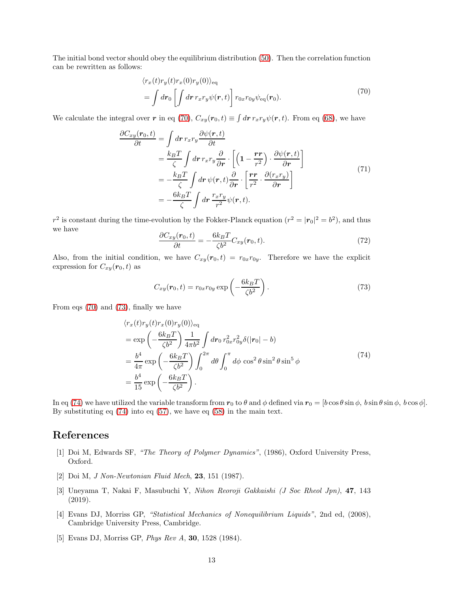The initial bond vector should obey the equilibrium distribution [\(50\)](#page-8-5). Then the correlation function can be rewritten as follows:

$$
\langle r_x(t)r_y(t)r_x(0)r_y(0)\rangle_{\text{eq}}
$$
  
= 
$$
\int d\mathbf{r}_0 \left[ \int d\mathbf{r} \, r_x r_y \psi(\mathbf{r},t) \right] r_{0x} r_{0y} \psi_{\text{eq}}(\mathbf{r}_0).
$$
 (70)

<span id="page-12-5"></span>We calculate the integral over r in eq [\(70\)](#page-12-5),  $C_{xy}(r_0,t) \equiv \int dr r_x r_y \psi(r,t)$ . From eq [\(68\)](#page-11-3), we have

$$
\frac{\partial C_{xy}(\mathbf{r}_0, t)}{\partial t} = \int d\mathbf{r} \, r_x r_y \frac{\partial \psi(\mathbf{r}, t)}{\partial t} \n= \frac{k_B T}{\zeta} \int d\mathbf{r} \, r_x r_y \frac{\partial}{\partial \mathbf{r}} \cdot \left[ \left( 1 - \frac{\mathbf{r} \mathbf{r}}{r^2} \right) \cdot \frac{\partial \psi(\mathbf{r}, t)}{\partial \mathbf{r}} \right] \n= -\frac{k_B T}{\zeta} \int d\mathbf{r} \, \psi(\mathbf{r}, t) \frac{\partial}{\partial \mathbf{r}} \cdot \left[ \frac{\mathbf{r} \mathbf{r}}{r^2} \cdot \frac{\partial (r_x r_y)}{\partial \mathbf{r}} \right] \n= -\frac{6 k_B T}{\zeta} \int d\mathbf{r} \, \frac{r_x r_y}{r^2} \psi(\mathbf{r}, t).
$$
\n(71)

 $r^2$  is constant during the time-evolution by the Fokker-Planck equation  $(r^2 = |\mathbf{r}_0|^2 = b^2)$ , and thus we have

$$
\frac{\partial C_{xy}(\mathbf{r}_0, t)}{\partial t} = -\frac{6k_B T}{\zeta b^2} C_{xy}(\mathbf{r}_0, t). \tag{72}
$$

Also, from the initial condition, we have  $C_{xy}(r_0,t) = r_{0x}r_{0y}$ . Therefore we have the explicit expression for  $C_{xy}(\mathbf{r}_0,t)$  as

<span id="page-12-6"></span>
$$
C_{xy}(\boldsymbol{r}_0, t) = r_{0x} r_{0y} \exp\left(-\frac{6k_B T}{\zeta b^2}\right). \tag{73}
$$

From eqs [\(70\)](#page-12-5) and [\(73\)](#page-12-6), finally we have

$$
\langle r_x(t)r_y(t)r_x(0)r_y(0)\rangle_{\text{eq}}
$$
  
=  $\exp\left(-\frac{6k_BT}{\zeta b^2}\right)\frac{1}{4\pi b^2}\int d\mathbf{r}_0 r_{0x}^2 r_{0y}^2 \delta(|\mathbf{r}_0| - b)$   
=  $\frac{b^4}{4\pi} \exp\left(-\frac{6k_BT}{\zeta b^2}\right)\int_0^{2\pi} d\theta \int_0^{\pi} d\phi \cos^2\theta \sin^2\theta \sin^5\phi$  (74)  
=  $\frac{b^4}{15} \exp\left(-\frac{6k_BT}{\zeta b^2}\right).$ 

<span id="page-12-7"></span>In eq [\(74\)](#page-12-7) we have utilized the variable transform from  $r_0$  to  $\theta$  and  $\phi$  defined via  $r_0 = [b \cos \theta \sin \phi, b \sin \theta \sin \phi, b \cos \phi]$ . By substituting eq [\(74\)](#page-12-7) into eq [\(57\)](#page-9-1), we have eq [\(58\)](#page-9-0) in the main text.

### <span id="page-12-0"></span>References

- <span id="page-12-1"></span>[1] Doi M, Edwards SF, "The Theory of Polymer Dynamics", (1986), Oxford University Press, Oxford.
- <span id="page-12-2"></span>[2] Doi M, J Non-Newtonian Fluid Mech, 23, 151 (1987).
- [3] Uneyama T, Nakai F, Masubuchi Y, Nihon Reoroji Gakkaishi (J Soc Rheol Jpn), 47, 143 (2019).
- <span id="page-12-3"></span>[4] Evans DJ, Morriss GP, "Statistical Mechanics of Nonequilibrium Liquids", 2nd ed, (2008), Cambridge University Press, Cambridge.
- <span id="page-12-4"></span>[5] Evans DJ, Morriss GP, Phys Rev A, 30, 1528 (1984).